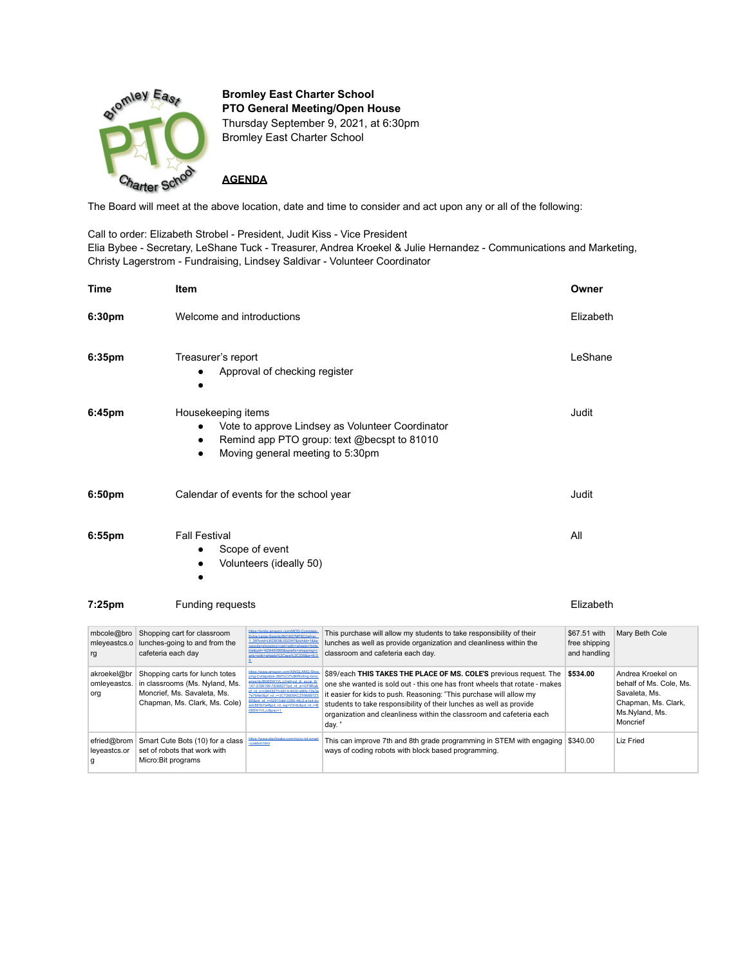

**Bromley East Charter School PTO General Meeting/Open House** Thursday September 9, 2021, at 6:30pm Bromley East Charter School

**AGENDA**

The Board will meet at the above location, date and time to consider and act upon any or all of the following:

Call to order: Elizabeth Strobel - President, Judit Kiss - Vice President Elia Bybee - Secretary, LeShane Tuck - Treasurer, Andrea Kroekel & Julie Hernandez - Communications and Marketing, Christy Lagerstrom - Fundraising, Lindsey Saldivar - Volunteer Coordinator

| <b>Time</b>                       | Item                                                                                                                                                                                                                                                                                                                            | Owner                                         |                |  |
|-----------------------------------|---------------------------------------------------------------------------------------------------------------------------------------------------------------------------------------------------------------------------------------------------------------------------------------------------------------------------------|-----------------------------------------------|----------------|--|
| 6:30pm                            | Welcome and introductions                                                                                                                                                                                                                                                                                                       | Elizabeth                                     |                |  |
| 6:35pm                            | Treasurer's report<br>Approval of checking register                                                                                                                                                                                                                                                                             | LeShane                                       |                |  |
| 6:45pm                            | Housekeeping items<br>Vote to approve Lindsey as Volunteer Coordinator<br>$\bullet$<br>Remind app PTO group: text @becspt to 81010<br>Moving general meeting to 5:30pm                                                                                                                                                          | Judit                                         |                |  |
| 6:50pm                            | Calendar of events for the school year                                                                                                                                                                                                                                                                                          | Judit                                         |                |  |
| 6:55 <sub>pm</sub>                | <b>Fall Festival</b><br>Scope of event<br>Volunteers (ideally 50)                                                                                                                                                                                                                                                               | All                                           |                |  |
| 7:25pm<br><b>Funding requests</b> |                                                                                                                                                                                                                                                                                                                                 |                                               | Elizabeth      |  |
| mbcole@bro<br>mleyeastcs.o<br>rg  | ile.amazon.com/MOD-Cor<br>Shopping cart for classroom<br>This purchase will allow my students to take responsibility of their<br>me-Size/do/B01K07MF8C/ref=sr<br>lunches as well as provide organization and cleanliness within the<br>lunches-going to and from the<br>classroom and cafeteria each day.<br>cafeteria each day | \$67.51 with<br>free shipping<br>and handling | Mary Beth Cole |  |

| mleyeastcs.o<br>rq                 | lunches-going to and from the<br>cafeteria each day                                                                              | 1 397010 LACSOSLUGO 17 & CONTO - 1 A<br>words=shopping+cart+with+wheels+fold<br>ble&gid=1628450995&sprefix=shopping+e<br>arts+with+wheels%2Caps%2C235&sr=8-3                                                                                                                                                                                      | lunches as well as provide organization and cleanliness within the<br>classroom and cafeteria each day.                                                                                                                                                                                                                                                                         | free shipping<br>and handling |                                                                                                                    |
|------------------------------------|----------------------------------------------------------------------------------------------------------------------------------|---------------------------------------------------------------------------------------------------------------------------------------------------------------------------------------------------------------------------------------------------------------------------------------------------------------------------------------------------|---------------------------------------------------------------------------------------------------------------------------------------------------------------------------------------------------------------------------------------------------------------------------------------------------------------------------------------------------------------------------------|-------------------------------|--------------------------------------------------------------------------------------------------------------------|
| akroekel@br<br>omleyeastcs.<br>org | Shopping carts for lunch totes<br>in classrooms (Ms. Nyland, Ms.<br>Moncrief, Ms. Savaleta, Ms.<br>Chapman, Ms. Clark, Ms. Cole) | https://www.amazon.com/XINGLANG-Shop.<br>ping-Collapsible-360%C2%B0Rolling-Groc<br>eries/dp/B08SW1VLJJ/ref=pd_di_sccai_6/<br>147-3189199-7838827?od_rd_w=GF8Bo&<br>pf_rd_p=c9443270-b914-4430-a90b-72e3e<br>7e784e0&pf_rd_r=3C726E6KCZ5988B7Z3<br>B5&pd_rd_r=52910dbf-0290-46c2-a1e4-bc<br>adc883b7a4&pd_rd_wg=V3rdL&pd_rd_i=B<br>08SW1VLJJ&psc=1 | \$89/each THIS TAKES THE PLACE OF MS. COLE'S previous request. The<br>one she wanted is sold out - this one has front wheels that rotate - makes<br>it easier for kids to push. Reasoning: "This purchase will allow my<br>students to take responsibility of their lunches as well as provide<br>organization and cleanliness within the classroom and cafeteria each<br>day." | \$534.00                      | Andrea Kroekel on<br>behalf of Ms. Cole, Ms.<br>Savaleta, Ms.<br>Chapman, Ms. Clark,<br>Ms.Nyland, Ms.<br>Moncrief |
| efried@brom<br>leyeastcs.or        | Smart Cute Bots (10) for a class<br>set of robots that work with<br>Micro:Bit programs                                           | https://www.elecfreaks.com/micro-bit-smart<br>cutebot.html                                                                                                                                                                                                                                                                                        | This can improve 7th and 8th grade programming in STEM with engaging<br>ways of coding robots with block based programming.                                                                                                                                                                                                                                                     | \$340.00                      | <b>Liz Fried</b>                                                                                                   |